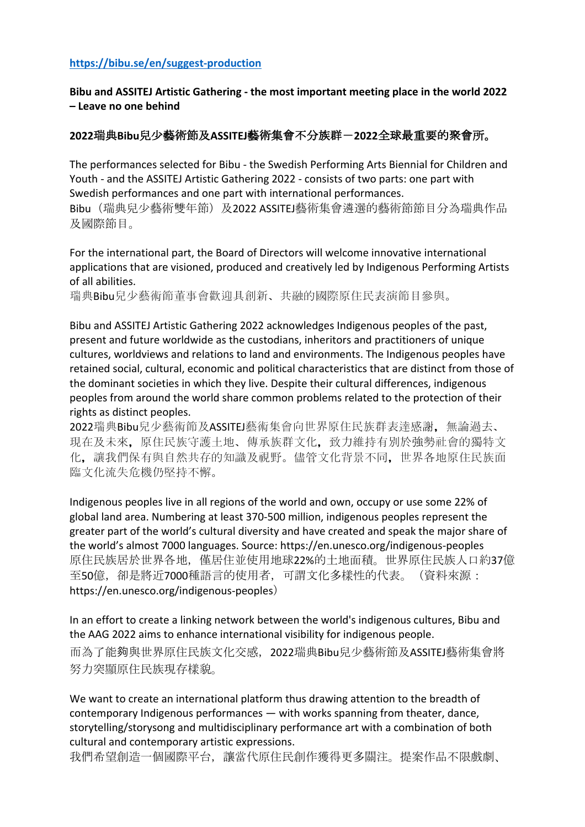## **https://bibu.se/en/suggest-production**

**Bibu and ASSITEJ Artistic Gathering - the most important meeting place in the world 2022 – Leave no one behind**

## **2022**瑞典**Bibu**兒少藝術節及**ASSITEJ**藝術集會不分族群-**2022**全球最重要的聚會所。

The performances selected for Bibu - the Swedish Performing Arts Biennial for Children and Youth - and the ASSITEJ Artistic Gathering 2022 - consists of two parts: one part with Swedish performances and one part with international performances. Bibu (瑞典兒少藝術雙年節) 及2022 ASSITEJ藝術集會遴選的藝術節節目分為瑞典作品 及國際節目。

For the international part, the Board of Directors will welcome innovative international applications that are visioned, produced and creatively led by Indigenous Performing Artists of all abilities.

瑞典Bibu兒少藝術節董事會歡迎具創新、共融的國際原住民表演節目參與。

Bibu and ASSITEJ Artistic Gathering 2022 acknowledges Indigenous peoples of the past, present and future worldwide as the custodians, inheritors and practitioners of unique cultures, worldviews and relations to land and environments. The Indigenous peoples have retained social, cultural, economic and political characteristics that are distinct from those of the dominant societies in which they live. Despite their cultural differences, indigenous peoples from around the world share common problems related to the protection of their rights as distinct peoples.

2022瑞典Bibu兒少藝術節及ASSITEJ藝術集會向世界原住民族群表達感謝, 無論過去、 現在及未來,原住民族守護土地、傳承族群文化,致力維持有別於強勢社會的獨特文 化,讓我們保有與自然共存的知識及視野。儘管文化背景不同,世界各地原住民族面 臨文化流失危機仍堅持不懈。

Indigenous peoples live in all regions of the world and own, occupy or use some 22% of global land area. Numbering at least 370-500 million, indigenous peoples represent the greater part of the world's cultural diversity and have created and speak the major share of the world's almost 7000 languages. Source: https://en.unesco.org/indigenous-peoples 原住民族居於世界各地,僅居住並使用地球22%的土地面積。世界原住民族人口約37億 至50億,卻是將近7000種語言的使用者,可謂文化多樣性的代表。(資料來源: https://en.unesco.org/indigenous-peoples)

In an effort to create a linking network between the world's indigenous cultures, Bibu and the AAG 2022 aims to enhance international visibility for indigenous people.

而為了能夠與世界原住民族文化交感,2022瑞典Bibu兒少藝術節及ASSITEJ藝術集會將 努力突顯原住民族現存樣貌。

We want to create an international platform thus drawing attention to the breadth of contemporary Indigenous performances — with works spanning from theater, dance, storytelling/storysong and multidisciplinary performance art with a combination of both cultural and contemporary artistic expressions.

我們希望創造一個國際平台,讓當代原住民創作獲得更多關注。提案作品不限戲劇、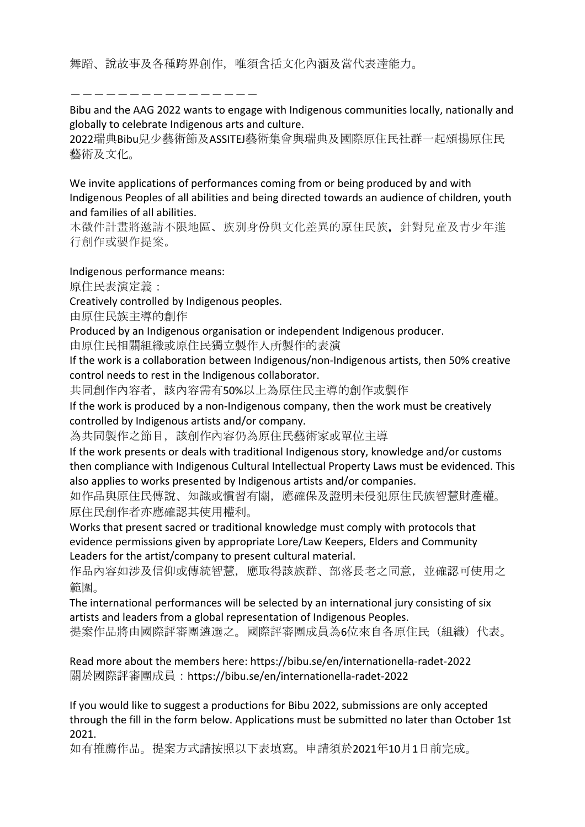舞蹈、說故事及各種跨界創作,唯須含括文化內涵及當代表達能力。

----------------

Bibu and the AAG 2022 wants to engage with Indigenous communities locally, nationally and globally to celebrate Indigenous arts and culture.

2022瑞典Bibu兒少藝術節及ASSITEJ藝術集會與瑞典及國際原住民社群一起頌揚原住民 藝術及文化。

We invite applications of performances coming from or being produced by and with Indigenous Peoples of all abilities and being directed towards an audience of children, youth and families of all abilities.

本徵件計畫將邀請不限地區、族別身份與文化差異的原住民族,針對兒童及青少年進 行創作或製作提案。

Indigenous performance means:

原住民表演定義:

Creatively controlled by Indigenous peoples.

由原住民族主導的創作

Produced by an Indigenous organisation or independent Indigenous producer. 由原住民相關組織或原住民獨立製作人所製作的表演

If the work is a collaboration between Indigenous/non-Indigenous artists, then 50% creative control needs to rest in the Indigenous collaborator.

共同創作內容者,該內容需有50%以上為原住民主導的創作或製作

If the work is produced by a non-Indigenous company, then the work must be creatively controlled by Indigenous artists and/or company.

為共同製作之節目,該創作內容仍為原住民藝術家或單位主導

If the work presents or deals with traditional Indigenous story, knowledge and/or customs then compliance with Indigenous Cultural Intellectual Property Laws must be evidenced. This also applies to works presented by Indigenous artists and/or companies.

如作品與原住民傳說、知識或慣習有關,應確保及證明未侵犯原住民族智慧財產權。 原住民創作者亦應確認其使用權利。

Works that present sacred or traditional knowledge must comply with protocols that evidence permissions given by appropriate Lore/Law Keepers, Elders and Community Leaders for the artist/company to present cultural material.

作品內容如涉及信仰或傳統智慧,應取得該族群、部落長老之同意,並確認可使用之 範圍。

The international performances will be selected by an international jury consisting of six artists and leaders from a global representation of Indigenous Peoples.

提案作品將由國際評審團遴選之。國際評審團成員為6位來自各原住民(組織)代表。

Read more about the members here: https://bibu.se/en/internationella-radet-2022 關於國際評審團成員:https://bibu.se/en/internationella-radet-2022

If you would like to suggest a productions for Bibu 2022, submissions are only accepted through the fill in the form below. Applications must be submitted no later than October 1st 2021.

如有推薦作品。提案方式請按照以下表填寫。申請須於2021年10月1日前完成。